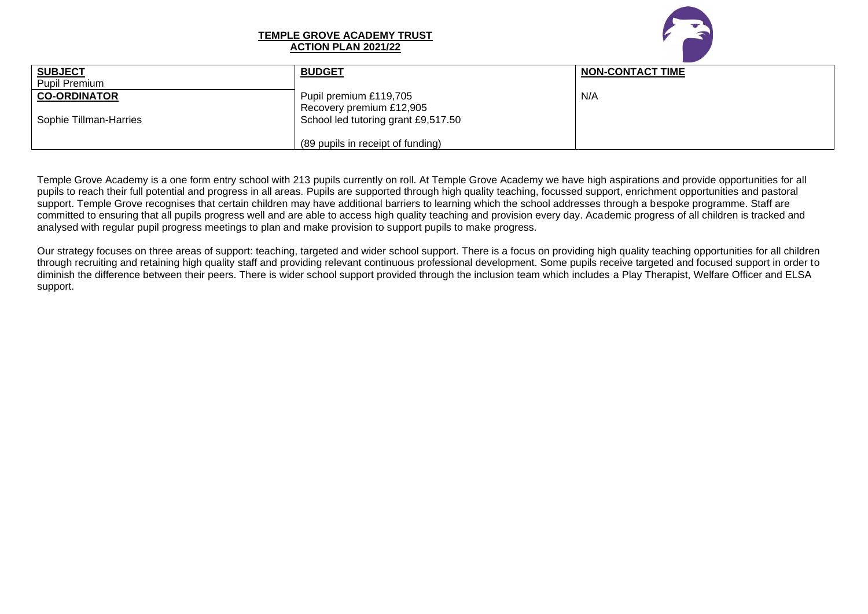

## **TEMPLE GROVE ACADEMY TRUST ACTION PLAN 2021/22**

| <b>SUBJECT</b>         | <b>BUDGET</b>                       | <b>NON-CONTACT TIME</b> |
|------------------------|-------------------------------------|-------------------------|
|                        |                                     |                         |
| <b>Pupil Premium</b>   |                                     |                         |
| <b>CO-ORDINATOR</b>    | Pupil premium £119,705              | N/A                     |
|                        |                                     |                         |
|                        | Recovery premium £12,905            |                         |
| Sophie Tillman-Harries | School led tutoring grant £9,517.50 |                         |
|                        |                                     |                         |
|                        |                                     |                         |
|                        | (89 pupils in receipt of funding)   |                         |
|                        |                                     |                         |

Temple Grove Academy is a one form entry school with 213 pupils currently on roll. At Temple Grove Academy we have high aspirations and provide opportunities for all pupils to reach their full potential and progress in all areas. Pupils are supported through high quality teaching, focussed support, enrichment opportunities and pastoral support. Temple Grove recognises that certain children may have additional barriers to learning which the school addresses through a bespoke programme. Staff are committed to ensuring that all pupils progress well and are able to access high quality teaching and provision every day. Academic progress of all children is tracked and analysed with regular pupil progress meetings to plan and make provision to support pupils to make progress.

Our strategy focuses on three areas of support: teaching, targeted and wider school support. There is a focus on providing high quality teaching opportunities for all children through recruiting and retaining high quality staff and providing relevant continuous professional development. Some pupils receive targeted and focused support in order to diminish the difference between their peers. There is wider school support provided through the inclusion team which includes a Play Therapist, Welfare Officer and ELSA support.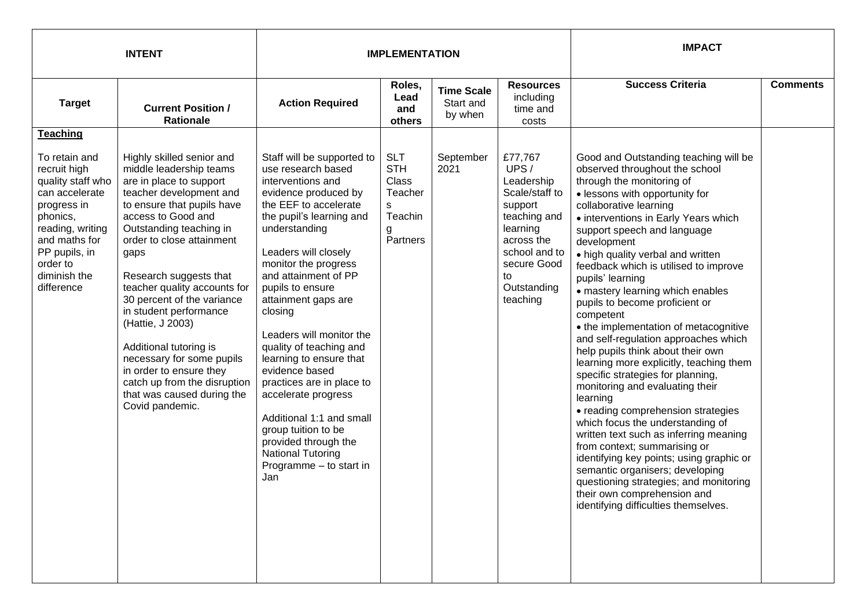| <b>INTENT</b>                                                                                                                                                                                   |                                                                                                                                                                                                                                                                                                                                                                                                                                                                                                                                         |                                                                                                                                                                                                                                                                                                                                                                                                                                                                                                                                                                                                    | <b>IMPLEMENTATION</b>                                                                |                                           | <b>IMPACT</b>                                                                                                                                                         |                                                                                                                                                                                                                                                                                                                                                                                                                                                                                                                                                                                                                                                                                                                                                                                                                                                                                                                                                                                                                                                      |                 |
|-------------------------------------------------------------------------------------------------------------------------------------------------------------------------------------------------|-----------------------------------------------------------------------------------------------------------------------------------------------------------------------------------------------------------------------------------------------------------------------------------------------------------------------------------------------------------------------------------------------------------------------------------------------------------------------------------------------------------------------------------------|----------------------------------------------------------------------------------------------------------------------------------------------------------------------------------------------------------------------------------------------------------------------------------------------------------------------------------------------------------------------------------------------------------------------------------------------------------------------------------------------------------------------------------------------------------------------------------------------------|--------------------------------------------------------------------------------------|-------------------------------------------|-----------------------------------------------------------------------------------------------------------------------------------------------------------------------|------------------------------------------------------------------------------------------------------------------------------------------------------------------------------------------------------------------------------------------------------------------------------------------------------------------------------------------------------------------------------------------------------------------------------------------------------------------------------------------------------------------------------------------------------------------------------------------------------------------------------------------------------------------------------------------------------------------------------------------------------------------------------------------------------------------------------------------------------------------------------------------------------------------------------------------------------------------------------------------------------------------------------------------------------|-----------------|
| <b>Target</b>                                                                                                                                                                                   | <b>Current Position /</b><br><b>Rationale</b>                                                                                                                                                                                                                                                                                                                                                                                                                                                                                           | <b>Action Required</b>                                                                                                                                                                                                                                                                                                                                                                                                                                                                                                                                                                             | Roles,<br>Lead<br>and<br>others                                                      | <b>Time Scale</b><br>Start and<br>by when | <b>Resources</b><br>including<br>time and<br>costs                                                                                                                    | <b>Success Criteria</b>                                                                                                                                                                                                                                                                                                                                                                                                                                                                                                                                                                                                                                                                                                                                                                                                                                                                                                                                                                                                                              | <b>Comments</b> |
| <b>Teaching</b>                                                                                                                                                                                 |                                                                                                                                                                                                                                                                                                                                                                                                                                                                                                                                         |                                                                                                                                                                                                                                                                                                                                                                                                                                                                                                                                                                                                    |                                                                                      |                                           |                                                                                                                                                                       |                                                                                                                                                                                                                                                                                                                                                                                                                                                                                                                                                                                                                                                                                                                                                                                                                                                                                                                                                                                                                                                      |                 |
| To retain and<br>recruit high<br>quality staff who<br>can accelerate<br>progress in<br>phonics,<br>reading, writing<br>and maths for<br>PP pupils, in<br>order to<br>diminish the<br>difference | Highly skilled senior and<br>middle leadership teams<br>are in place to support<br>teacher development and<br>to ensure that pupils have<br>access to Good and<br>Outstanding teaching in<br>order to close attainment<br>gaps<br>Research suggests that<br>teacher quality accounts for<br>30 percent of the variance<br>in student performance<br>(Hattie, J 2003)<br>Additional tutoring is<br>necessary for some pupils<br>in order to ensure they<br>catch up from the disruption<br>that was caused during the<br>Covid pandemic. | Staff will be supported to<br>use research based<br>interventions and<br>evidence produced by<br>the EEF to accelerate<br>the pupil's learning and<br>understanding<br>Leaders will closely<br>monitor the progress<br>and attainment of PP<br>pupils to ensure<br>attainment gaps are<br>closing<br>Leaders will monitor the<br>quality of teaching and<br>learning to ensure that<br>evidence based<br>practices are in place to<br>accelerate progress<br>Additional 1:1 and small<br>group tuition to be<br>provided through the<br><b>National Tutoring</b><br>Programme - to start in<br>Jan | <b>SLT</b><br><b>STH</b><br><b>Class</b><br>Teacher<br>s<br>Teachin<br>g<br>Partners | September<br>2021                         | £77,767<br>UPS/<br>Leadership<br>Scale/staff to<br>support<br>teaching and<br>learning<br>across the<br>school and to<br>secure Good<br>to<br>Outstanding<br>teaching | Good and Outstanding teaching will be<br>observed throughout the school<br>through the monitoring of<br>· lessons with opportunity for<br>collaborative learning<br>• interventions in Early Years which<br>support speech and language<br>development<br>• high quality verbal and written<br>feedback which is utilised to improve<br>pupils' learning<br>• mastery learning which enables<br>pupils to become proficient or<br>competent<br>• the implementation of metacognitive<br>and self-regulation approaches which<br>help pupils think about their own<br>learning more explicitly, teaching them<br>specific strategies for planning,<br>monitoring and evaluating their<br>learning<br>• reading comprehension strategies<br>which focus the understanding of<br>written text such as inferring meaning<br>from context; summarising or<br>identifying key points; using graphic or<br>semantic organisers; developing<br>questioning strategies; and monitoring<br>their own comprehension and<br>identifying difficulties themselves. |                 |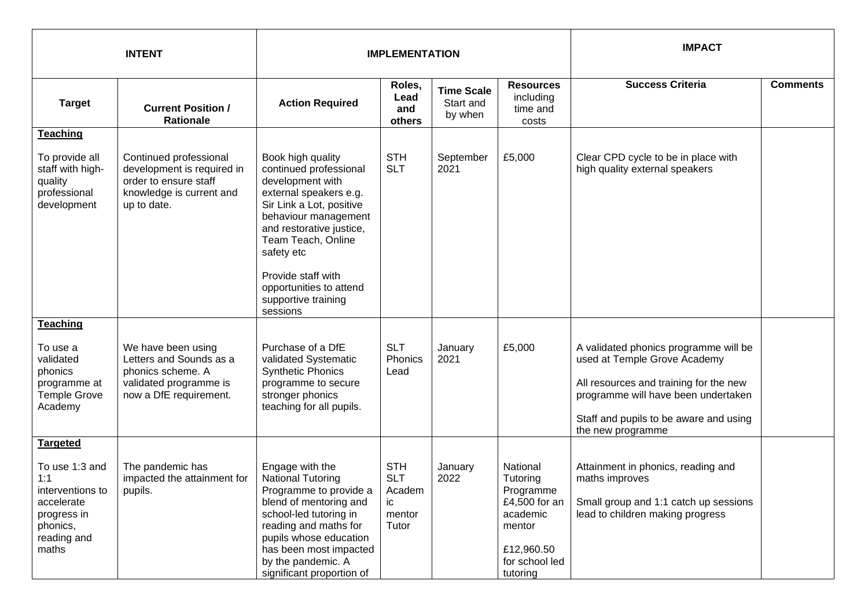| <b>INTENT</b>                                                                                                                 |                                                                                                                          |                                                                                                                                                                                                                                                           | <b>IMPLEMENTATION</b>                                       |                                           | <b>IMPACT</b>                                                                                                        |                                                                                                                                                                                                                       |                 |
|-------------------------------------------------------------------------------------------------------------------------------|--------------------------------------------------------------------------------------------------------------------------|-----------------------------------------------------------------------------------------------------------------------------------------------------------------------------------------------------------------------------------------------------------|-------------------------------------------------------------|-------------------------------------------|----------------------------------------------------------------------------------------------------------------------|-----------------------------------------------------------------------------------------------------------------------------------------------------------------------------------------------------------------------|-----------------|
| <b>Target</b>                                                                                                                 | <b>Current Position /</b><br>Rationale                                                                                   | <b>Action Required</b>                                                                                                                                                                                                                                    | Roles,<br>Lead<br>and<br>others                             | <b>Time Scale</b><br>Start and<br>by when | <b>Resources</b><br>including<br>time and<br>costs                                                                   | <b>Success Criteria</b>                                                                                                                                                                                               | <b>Comments</b> |
| Teaching                                                                                                                      |                                                                                                                          |                                                                                                                                                                                                                                                           |                                                             |                                           |                                                                                                                      |                                                                                                                                                                                                                       |                 |
| To provide all<br>staff with high-<br>quality<br>professional<br>development                                                  | Continued professional<br>development is required in<br>order to ensure staff<br>knowledge is current and<br>up to date. | Book high quality<br>continued professional<br>development with<br>external speakers e.g.<br>Sir Link a Lot, positive<br>behaviour management<br>and restorative justice,<br>Team Teach, Online<br>safety etc                                             | <b>STH</b><br><b>SLT</b>                                    | September<br>2021                         | £5,000                                                                                                               | Clear CPD cycle to be in place with<br>high quality external speakers                                                                                                                                                 |                 |
|                                                                                                                               |                                                                                                                          | Provide staff with<br>opportunities to attend<br>supportive training<br>sessions                                                                                                                                                                          |                                                             |                                           |                                                                                                                      |                                                                                                                                                                                                                       |                 |
| <b>Teaching</b><br>To use a<br>validated<br>phonics<br>programme at<br><b>Temple Grove</b><br>Academy                         | We have been using<br>Letters and Sounds as a<br>phonics scheme. A<br>validated programme is<br>now a DfE requirement.   | Purchase of a DfE<br>validated Systematic<br><b>Synthetic Phonics</b><br>programme to secure<br>stronger phonics<br>teaching for all pupils.                                                                                                              | <b>SLT</b><br>Phonics<br>Lead                               | January<br>2021                           | £5,000                                                                                                               | A validated phonics programme will be<br>used at Temple Grove Academy<br>All resources and training for the new<br>programme will have been undertaken<br>Staff and pupils to be aware and using<br>the new programme |                 |
| <b>Targeted</b><br>To use 1:3 and<br>1:1<br>interventions to<br>accelerate<br>progress in<br>phonics,<br>reading and<br>maths | The pandemic has<br>impacted the attainment for<br>pupils.                                                               | Engage with the<br><b>National Tutoring</b><br>Programme to provide a<br>blend of mentoring and<br>school-led tutoring in<br>reading and maths for<br>pupils whose education<br>has been most impacted<br>by the pandemic. A<br>significant proportion of | <b>STH</b><br><b>SLT</b><br>Academ<br>ic<br>mentor<br>Tutor | January<br>2022                           | National<br>Tutoring<br>Programme<br>£4,500 for an<br>academic<br>mentor<br>£12,960.50<br>for school led<br>tutoring | Attainment in phonics, reading and<br>maths improves<br>Small group and 1:1 catch up sessions<br>lead to children making progress                                                                                     |                 |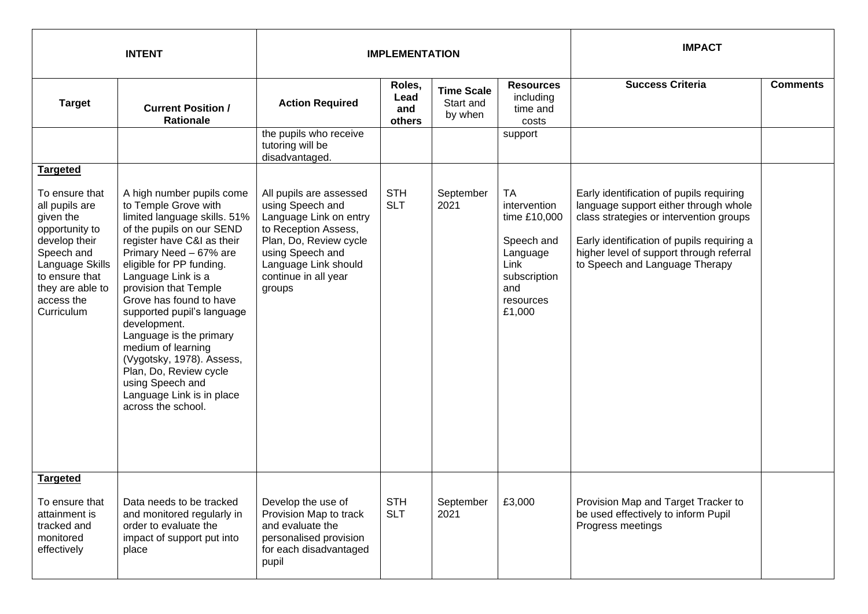| <b>INTENT</b>                                                                                                                                                                                          |                                                                                                                                                                                                                                                                                                                                                                                                                                                                                                           |                                                                                                                                                                                                       | <b>IMPLEMENTATION</b>           |                                           | <b>IMPACT</b>                                                                                                      |                                                                                                                                                                                                                                                          |                 |
|--------------------------------------------------------------------------------------------------------------------------------------------------------------------------------------------------------|-----------------------------------------------------------------------------------------------------------------------------------------------------------------------------------------------------------------------------------------------------------------------------------------------------------------------------------------------------------------------------------------------------------------------------------------------------------------------------------------------------------|-------------------------------------------------------------------------------------------------------------------------------------------------------------------------------------------------------|---------------------------------|-------------------------------------------|--------------------------------------------------------------------------------------------------------------------|----------------------------------------------------------------------------------------------------------------------------------------------------------------------------------------------------------------------------------------------------------|-----------------|
| <b>Target</b>                                                                                                                                                                                          | <b>Current Position /</b><br><b>Rationale</b>                                                                                                                                                                                                                                                                                                                                                                                                                                                             | <b>Action Required</b>                                                                                                                                                                                | Roles,<br>Lead<br>and<br>others | <b>Time Scale</b><br>Start and<br>by when | <b>Resources</b><br>including<br>time and<br>costs                                                                 | <b>Success Criteria</b>                                                                                                                                                                                                                                  | <b>Comments</b> |
|                                                                                                                                                                                                        |                                                                                                                                                                                                                                                                                                                                                                                                                                                                                                           | the pupils who receive<br>tutoring will be<br>disadvantaged.                                                                                                                                          |                                 |                                           | support                                                                                                            |                                                                                                                                                                                                                                                          |                 |
| <b>Targeted</b><br>To ensure that<br>all pupils are<br>given the<br>opportunity to<br>develop their<br>Speech and<br>Language Skills<br>to ensure that<br>they are able to<br>access the<br>Curriculum | A high number pupils come<br>to Temple Grove with<br>limited language skills. 51%<br>of the pupils on our SEND<br>register have C&I as their<br>Primary Need - 67% are<br>eligible for PP funding.<br>Language Link is a<br>provision that Temple<br>Grove has found to have<br>supported pupil's language<br>development.<br>Language is the primary<br>medium of learning<br>(Vygotsky, 1978). Assess,<br>Plan, Do, Review cycle<br>using Speech and<br>Language Link is in place<br>across the school. | All pupils are assessed<br>using Speech and<br>Language Link on entry<br>to Reception Assess,<br>Plan, Do, Review cycle<br>using Speech and<br>Language Link should<br>continue in all year<br>groups | <b>STH</b><br><b>SLT</b>        | September<br>2021                         | TA<br>intervention<br>time £10,000<br>Speech and<br>Language<br>Link<br>subscription<br>and<br>resources<br>£1,000 | Early identification of pupils requiring<br>language support either through whole<br>class strategies or intervention groups<br>Early identification of pupils requiring a<br>higher level of support through referral<br>to Speech and Language Therapy |                 |
| <b>Targeted</b><br>To ensure that<br>attainment is<br>tracked and<br>monitored<br>effectively                                                                                                          | Data needs to be tracked<br>and monitored regularly in<br>order to evaluate the<br>impact of support put into<br>place                                                                                                                                                                                                                                                                                                                                                                                    | Develop the use of<br>Provision Map to track<br>and evaluate the<br>personalised provision<br>for each disadvantaged<br>pupil                                                                         | <b>STH</b><br><b>SLT</b>        | September<br>2021                         | £3,000                                                                                                             | Provision Map and Target Tracker to<br>be used effectively to inform Pupil<br>Progress meetings                                                                                                                                                          |                 |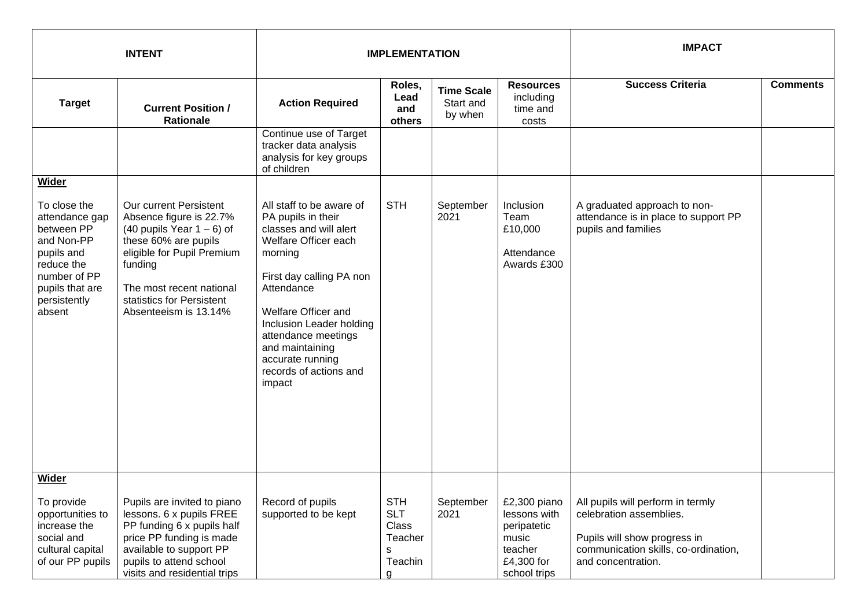| <b>INTENT</b>                                                                                                                                                |                                                                                                                                                                                                                                        | <b>IMPLEMENTATION</b>                                                                                                                                                                                                                                                                                      |                                                                   |                                           |                                                                                               | <b>IMPACT</b>                                                                                                                                              |                 |
|--------------------------------------------------------------------------------------------------------------------------------------------------------------|----------------------------------------------------------------------------------------------------------------------------------------------------------------------------------------------------------------------------------------|------------------------------------------------------------------------------------------------------------------------------------------------------------------------------------------------------------------------------------------------------------------------------------------------------------|-------------------------------------------------------------------|-------------------------------------------|-----------------------------------------------------------------------------------------------|------------------------------------------------------------------------------------------------------------------------------------------------------------|-----------------|
| <b>Target</b>                                                                                                                                                | <b>Current Position /</b><br><b>Rationale</b>                                                                                                                                                                                          | <b>Action Required</b>                                                                                                                                                                                                                                                                                     | Roles,<br>Lead<br>and<br>others                                   | <b>Time Scale</b><br>Start and<br>by when | <b>Resources</b><br>including<br>time and<br>costs                                            | <b>Success Criteria</b>                                                                                                                                    | <b>Comments</b> |
|                                                                                                                                                              |                                                                                                                                                                                                                                        | Continue use of Target<br>tracker data analysis<br>analysis for key groups<br>of children                                                                                                                                                                                                                  |                                                                   |                                           |                                                                                               |                                                                                                                                                            |                 |
| Wider<br>To close the<br>attendance gap<br>between PP<br>and Non-PP<br>pupils and<br>reduce the<br>number of PP<br>pupils that are<br>persistently<br>absent | Our current Persistent<br>Absence figure is 22.7%<br>$(40$ pupils Year $1 - 6$ ) of<br>these 60% are pupils<br>eligible for Pupil Premium<br>funding<br>The most recent national<br>statistics for Persistent<br>Absenteeism is 13.14% | All staff to be aware of<br>PA pupils in their<br>classes and will alert<br>Welfare Officer each<br>morning<br>First day calling PA non<br>Attendance<br>Welfare Officer and<br>Inclusion Leader holding<br>attendance meetings<br>and maintaining<br>accurate running<br>records of actions and<br>impact | <b>STH</b>                                                        | September<br>2021                         | Inclusion<br>Team<br>£10,000<br>Attendance<br>Awards £300                                     | A graduated approach to non-<br>attendance is in place to support PP<br>pupils and families                                                                |                 |
| Wider<br>To provide<br>opportunities to<br>increase the<br>social and<br>cultural capital<br>of our PP pupils                                                | Pupils are invited to piano<br>lessons. 6 x pupils FREE<br>PP funding 6 x pupils half<br>price PP funding is made<br>available to support PP<br>pupils to attend school<br>visits and residential trips                                | Record of pupils<br>supported to be kept                                                                                                                                                                                                                                                                   | <b>STH</b><br><b>SLT</b><br>Class<br>Teacher<br>s<br>Teachin<br>a | September<br>2021                         | £2,300 piano<br>lessons with<br>peripatetic<br>music<br>teacher<br>£4,300 for<br>school trips | All pupils will perform in termly<br>celebration assemblies.<br>Pupils will show progress in<br>communication skills, co-ordination,<br>and concentration. |                 |